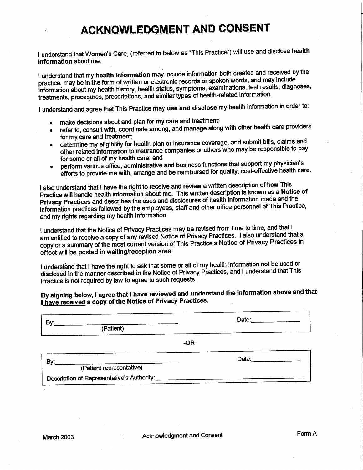# **ACKNOWLEDGMENT AND CONSENT**

I understand that Women's Care, (referred to below as "This Practice") will use and disclose health information about me.

I understand that my health information may include information both created and received by the practice, may be in the form of written or electronic records or spoken words, and may include information about my health history, health status, symptoms, examinations, test results, diagnoses, treatments, procedures, prescriptions, and similar types of health-related information.

I understand and agree that This Practice may use and disclose my health information in order to:

- make decisions about and plan for my care and treatment;
- refer to, consult with, coordinate among, and manage along with other health care providers for my care and treatment:
- determine my eligibility for health plan or insurance coverage, and submit bills, claims and other related information to insurance companies or others who may be responsible to pay for some or all of my health care; and
- perform various office, administrative and business functions that support my physician's efforts to provide me with, arrange and be reimbursed for quality, cost-effective health care.

I also understand that I have the right to receive and review a written description of how This Practice will handle health information about me. This written description is known as a Notice of Privacy Practices and describes the uses and disclosures of health information made and the information practices followed by the employees, staff and other office personnel of This Practice, and my rights regarding my health information.

I understand that the Notice of Privacy Practices may be revised from time to time, and that I am entitled to receive a copy of any revised Notice of Privacy Practices. I also understand that a copy or a summary of the most current version of This Practice's Notice of Privacy Practices in effect will be posted in waiting/reception area.

I understand that I have the right to ask that some or all of my health information not be used or disclosed in the manner described in the Notice of Privacy Practices, and I understand that This Practice is not required by law to agree to such requests.

## By signing below, I agree that I have reviewed and understand the information above and that I have received a copy of the Notice of Privacy Practices.

| By:                                        | Date: $\qquad \qquad \qquad$ |       |  |
|--------------------------------------------|------------------------------|-------|--|
| (Patient)                                  |                              |       |  |
|                                            | $-OR-$                       |       |  |
| By:                                        |                              | Date: |  |
| (Patient representative)                   |                              |       |  |
| Description of Representative's Authority: |                              |       |  |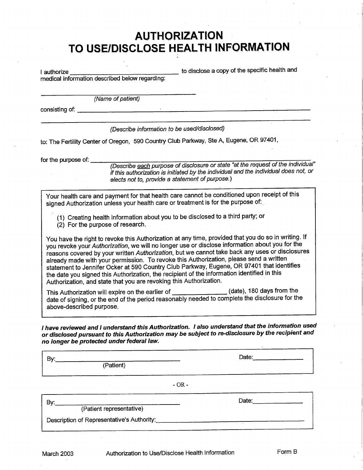# **AUTHORIZATION** TO USE/DISCLOSE HEALTH INFORMATION

| I authorize |                                                               | to disclose a copy of the specific health and |  |
|-------------|---------------------------------------------------------------|-----------------------------------------------|--|
|             | in a start and according the second leaders recognized to the |                                               |  |

medical information described below regarding:

(Name of patient)

consisting of: <u>consisting</u> of: consisting of: consisting of: consisting of: consisting of: consisting of: constant of the constant of the constant of the constant of the constant of the constant of the constant of the con

(Describe information to be used/disclosed)

to: The Fertility Center of Oregon, 590 Country Club Parkway, Ste A, Eugene, OR 97401,

for the purpose of:  $\frac{1}{2}$ 

(Describe each purpose of disclosure or state "at the request of the individual" if this authorization is initiated by the individual and the individual does not, or elects not to, provide a statement of purpose.)

Your health care and payment for that health care cannot be conditioned upon receipt of this signed Authorization unless your health care or treatment is for the purpose of.

(1) Creating health information about you to be disclosed to a third party; or

(2) For the purpose of research.

You have the right to revoke this Authorization at any time, provided that you do so in writing. If you revoke your Authorization, we will no longer use or disclose information about you for the reasons covered by your written Authorization, but we cannot take back any uses or disclosures already made with your permission. To revoke this Authorization, please send a written statement to Jennifer Ocker at 590 Country Club Parkway, Eugene, OR 97401 that identifies the date you signed this Authorization, the recipient of the information identified in this Authorization, and state that you are revoking this Authorization.

This Authorization will expire on the earlier of \_\_\_\_\_\_\_\_\_\_\_\_\_\_\_(date), 180 days from the date of signing, or the end of the period reasonably needed to complete the disclosure for the above-described purpose.

I have reviewed and I understand this Authorization. I also understand that the information used or disclosed pursuant to this Authorization may be subject to re-disclosure by the recipient and no longer be protected under federal law.

By: (Patient) Date:

 $-OR -$ 

By: (Patient representative)

Date:  $\qquad \qquad \qquad$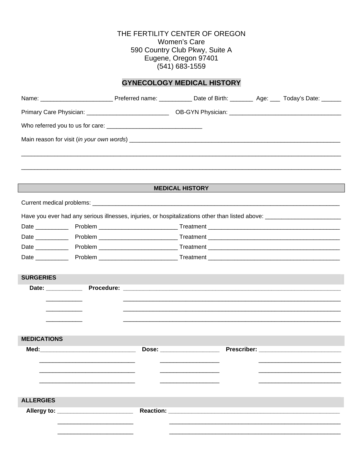# THE FERTILITY CENTER OF OREGON Women's Care 590 Country Club Pkwy, Suite A<br>Eugene, Oregon 97401  $(541)$  683-1559

### **GYNECOLOGY MEDICAL HISTORY**

|                    |                                     |                  | Primary Care Physician: ___________________________________OB-GYN Physician: _________________________________ |  |
|--------------------|-------------------------------------|------------------|----------------------------------------------------------------------------------------------------------------|--|
|                    |                                     |                  |                                                                                                                |  |
|                    |                                     |                  |                                                                                                                |  |
|                    |                                     |                  |                                                                                                                |  |
|                    |                                     |                  |                                                                                                                |  |
|                    |                                     |                  |                                                                                                                |  |
|                    |                                     |                  | <b>MEDICAL HISTORY</b>                                                                                         |  |
|                    |                                     |                  |                                                                                                                |  |
|                    |                                     |                  |                                                                                                                |  |
|                    |                                     |                  |                                                                                                                |  |
|                    |                                     |                  |                                                                                                                |  |
|                    |                                     |                  |                                                                                                                |  |
|                    |                                     |                  |                                                                                                                |  |
|                    |                                     |                  |                                                                                                                |  |
| <b>SURGERIES</b>   |                                     |                  |                                                                                                                |  |
|                    |                                     |                  |                                                                                                                |  |
|                    |                                     |                  |                                                                                                                |  |
|                    |                                     |                  |                                                                                                                |  |
|                    |                                     |                  |                                                                                                                |  |
|                    |                                     |                  |                                                                                                                |  |
| <b>MEDICATIONS</b> |                                     |                  |                                                                                                                |  |
|                    | Med: ______________________________ |                  | Dose: __________________                                                                                       |  |
|                    |                                     |                  |                                                                                                                |  |
|                    |                                     |                  |                                                                                                                |  |
|                    |                                     |                  |                                                                                                                |  |
|                    |                                     |                  |                                                                                                                |  |
| <b>ALLERGIES</b>   |                                     |                  |                                                                                                                |  |
| Allergy to:        |                                     | <b>Reaction:</b> |                                                                                                                |  |
|                    |                                     |                  |                                                                                                                |  |
|                    |                                     |                  |                                                                                                                |  |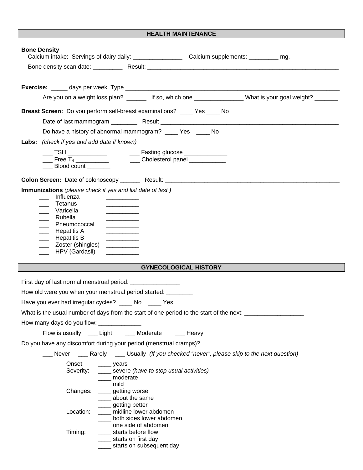#### **HEALTH MAINTENANCE**

| <b>Bone Density</b><br>Calcium intake: Servings of dairy daily: __________________________Calcium supplements: ____________ mg.                                                                                                                                                                                                                                                                        |
|--------------------------------------------------------------------------------------------------------------------------------------------------------------------------------------------------------------------------------------------------------------------------------------------------------------------------------------------------------------------------------------------------------|
|                                                                                                                                                                                                                                                                                                                                                                                                        |
|                                                                                                                                                                                                                                                                                                                                                                                                        |
| Are you on a weight loss plan? __________ If so, which one __________________What is your goal weight? _______                                                                                                                                                                                                                                                                                         |
| Breast Screen: Do you perform self-breast examinations? _____ Yes ____ No                                                                                                                                                                                                                                                                                                                              |
|                                                                                                                                                                                                                                                                                                                                                                                                        |
| Do have a history of abnormal mammogram? _____ Yes _____ No                                                                                                                                                                                                                                                                                                                                            |
| Labs: (check if yes and add date if known)                                                                                                                                                                                                                                                                                                                                                             |
| ___ TSH _____________    ___ Fasting glucose _____________                                                                                                                                                                                                                                                                                                                                             |
| $\frac{1}{\sqrt{1-\frac{1}{2}}}\int_{0}^{\frac{1}{2}}\frac{1}{\sqrt{1-\frac{1}{2}}\int_{0}^{\frac{1}{2}}\frac{1}{\sqrt{1-\frac{1}{2}}\int_{0}^{\frac{1}{2}}\frac{1}{\sqrt{1-\frac{1}{2}}\int_{0}^{\frac{1}{2}}\frac{1}{\sqrt{1-\frac{1}{2}}\int_{0}^{\frac{1}{2}}\frac{1}{\sqrt{1-\frac{1}{2}}\int_{0}^{\frac{1}{2}}\frac{1}{\sqrt{1-\frac{1}{2}}\int_{0}^{\frac{1}{2}}\frac{1}{\sqrt{1-\frac{1}{2}}\$ |
| ____ Blood count _______                                                                                                                                                                                                                                                                                                                                                                               |
|                                                                                                                                                                                                                                                                                                                                                                                                        |
| Immunizations (please check if yes and list date of last)<br>Influenza<br>Tetanus<br>the company of the company of the company<br>___ Varicella<br>___ Rubella<br>____ Pneumococcal<br>____ Hepatitis A<br>____ Hepatitis B<br>____ Zoster (shingles)<br>HPV (Gardasil)                                                                                                                                |
| <b>GYNECOLOGICAL HISTORY</b>                                                                                                                                                                                                                                                                                                                                                                           |
|                                                                                                                                                                                                                                                                                                                                                                                                        |
| First day of last normal menstrual period: _________________                                                                                                                                                                                                                                                                                                                                           |
| How old were you when your menstrual period started:                                                                                                                                                                                                                                                                                                                                                   |
| Have you ever had irregular cycles? _____ No _____ Yes                                                                                                                                                                                                                                                                                                                                                 |
| What is the usual number of days from the start of one period to the start of the next: __________________                                                                                                                                                                                                                                                                                             |
|                                                                                                                                                                                                                                                                                                                                                                                                        |
| Flow is usually: ___ Light ____ Moderate ____ Heavy                                                                                                                                                                                                                                                                                                                                                    |
| Do you have any discomfort during your period (menstrual cramps)?                                                                                                                                                                                                                                                                                                                                      |
| Never _______ Rarely _______ Usually (If you checked "never", please skip to the next question)                                                                                                                                                                                                                                                                                                        |
| Onset:<br>$\frac{1}{2}$ years<br>____ severe (have to stop usual activities)<br>Severity:<br>____ moderate                                                                                                                                                                                                                                                                                             |
|                                                                                                                                                                                                                                                                                                                                                                                                        |
| mild<br>Changes: ____ getting worse<br>_____ about the same                                                                                                                                                                                                                                                                                                                                            |
| _____ getting better<br>Location:<br>___ midline lower abdomen<br>both sides lower abdomen<br>one side of abdomen                                                                                                                                                                                                                                                                                      |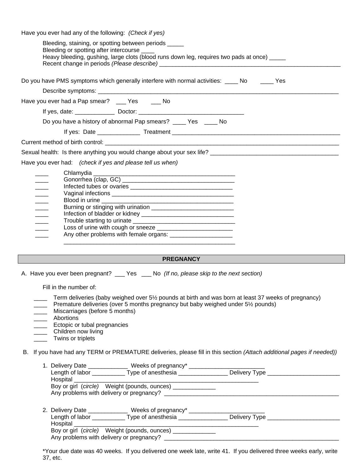| Bleeding, staining, or spotting between periods _____<br>Bleeding or spotting after intercourse ____                                                                                                                            |
|---------------------------------------------------------------------------------------------------------------------------------------------------------------------------------------------------------------------------------|
| Heavy bleeding, gushing, large clots (blood runs down leg, requires two pads at once) _____                                                                                                                                     |
| Do you have PMS symptoms which generally interfere with normal activities: _____ No ______ Yes                                                                                                                                  |
|                                                                                                                                                                                                                                 |
| Have you ever had a Pap smear? __ Yes __ No                                                                                                                                                                                     |
|                                                                                                                                                                                                                                 |
| Do you have a history of abnormal Pap smears? ____ Yes ____ No                                                                                                                                                                  |
|                                                                                                                                                                                                                                 |
|                                                                                                                                                                                                                                 |
|                                                                                                                                                                                                                                 |
| Have you ever had: (check if yes and please tell us when)                                                                                                                                                                       |
| $\overline{\phantom{a}}$<br>$\overline{\phantom{a}}$<br>$\frac{1}{2}$<br>$\overline{\phantom{a}}$<br>$\overline{\phantom{a}}$<br>Infection of bladder or kidney ___________________________________<br>$\overline{\phantom{a}}$ |

#### **PREGNANCY**

A. Have you ever been pregnant? \_\_\_ Yes \_\_\_ No *(If no, please skip to the next section)* 

Fill in the number of:

- Term deliveries (baby weighed over 5½ pounds at birth and was born at least 37 weeks of pregnancy)
- Premature deliveries (over 5 months pregnancy but baby weighed under 5½ pounds)
- Miscarriages (before 5 months)
- \_\_\_\_ Abortions
- **Ectopic or tubal pregnancies**
- \_\_\_\_ Children now living
- \_\_\_\_\_ Twins or triplets

B. If you have had any TERM or PREMATURE deliveries, please fill in this section *(Attach additional pages if needed))*

|          | 1. Delivery Date _________                                                                                     | Weeks of pregnancy*                                   |                       |
|----------|----------------------------------------------------------------------------------------------------------------|-------------------------------------------------------|-----------------------|
|          | Length of labor ________________                                                                               | Type of anesthesia ____________                       | Delivery Type _______ |
| Hospital |                                                                                                                |                                                       |                       |
|          |                                                                                                                | Boy or girl (circle) Weight (pounds, ounces) _____    |                       |
|          |                                                                                                                | Any problems with delivery or pregnancy? _________    |                       |
|          |                                                                                                                |                                                       |                       |
|          | 2. Delivery Date _________                                                                                     | Weeks of pregnancy*                                   |                       |
|          | Length of labor that the state of the state of the state of the state of the state of the state of the state o | Type of anesthesia                                    | Delivery Type _       |
| Hospital |                                                                                                                |                                                       |                       |
|          |                                                                                                                |                                                       |                       |
|          |                                                                                                                | Boy or girl (circle) Weight (pounds, ounces) ________ |                       |

\*Your due date was 40 weeks. If you delivered one week late, write 41. If you delivered three weeks early, write 37, etc.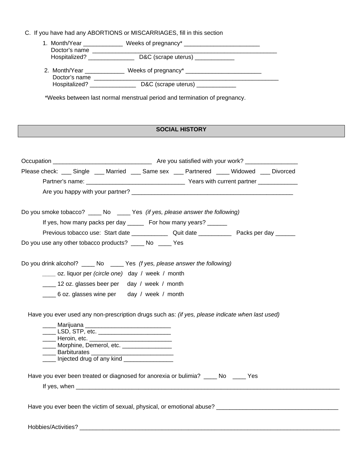|  | C. If you have had any ABORTIONS or MISCARRIAGES, fill in this section |  |
|--|------------------------------------------------------------------------|--|
|  |                                                                        |  |

| 1. Month/Year                  |                                   |  |
|--------------------------------|-----------------------------------|--|
| Doctor's name<br>Hospitalized? | D&C (scrape uterus) _____________ |  |
| 2. Month/Year<br>Doctor's name | Weeks of pregnancy* _____________ |  |
| Hospitalized?                  | D&C (scrape uterus)               |  |

\*Weeks between last normal menstrual period and termination of pregnancy.

### **SOCIAL HISTORY**

| Please check: ___ Single ___ Married ___ Same sex ___ Partnered ___ Widowed __ Divorced                                                                                                |                                                                                                                                                                                                                                                           |                                                                  |  |
|----------------------------------------------------------------------------------------------------------------------------------------------------------------------------------------|-----------------------------------------------------------------------------------------------------------------------------------------------------------------------------------------------------------------------------------------------------------|------------------------------------------------------------------|--|
|                                                                                                                                                                                        |                                                                                                                                                                                                                                                           |                                                                  |  |
|                                                                                                                                                                                        |                                                                                                                                                                                                                                                           |                                                                  |  |
| Do you smoke tobacco? _____ No _____ Yes (if yes, please answer the following)                                                                                                         |                                                                                                                                                                                                                                                           |                                                                  |  |
|                                                                                                                                                                                        |                                                                                                                                                                                                                                                           | If yes, how many packs per day ______ For how many years? ______ |  |
|                                                                                                                                                                                        |                                                                                                                                                                                                                                                           |                                                                  |  |
| Do you use any other tobacco products? _____ No _____ Yes                                                                                                                              |                                                                                                                                                                                                                                                           |                                                                  |  |
|                                                                                                                                                                                        |                                                                                                                                                                                                                                                           |                                                                  |  |
| Do you drink alcohol? _____ No _____ Yes (f yes, please answer the following)                                                                                                          |                                                                                                                                                                                                                                                           |                                                                  |  |
|                                                                                                                                                                                        | _____ oz. liquor per (circle one) day / week / month                                                                                                                                                                                                      |                                                                  |  |
|                                                                                                                                                                                        | ___ 12 oz. glasses beer per day / week / month                                                                                                                                                                                                            |                                                                  |  |
|                                                                                                                                                                                        | 6 oz. glasses wine per day / week / month                                                                                                                                                                                                                 |                                                                  |  |
| Have you ever used any non-prescription drugs such as: (if yes, please indicate when last used)<br>Have you ever been treated or diagnosed for anorexia or bulimia? _____ No _____ Yes | _____ Marijuana _________________________________<br>____ LSD, STP, etc. _________________________<br>_____ Heroin, etc. _______________________________<br>Morphine, Demerol, etc. _________________<br>_____ Barbiturates _____________________________ |                                                                  |  |
|                                                                                                                                                                                        |                                                                                                                                                                                                                                                           |                                                                  |  |